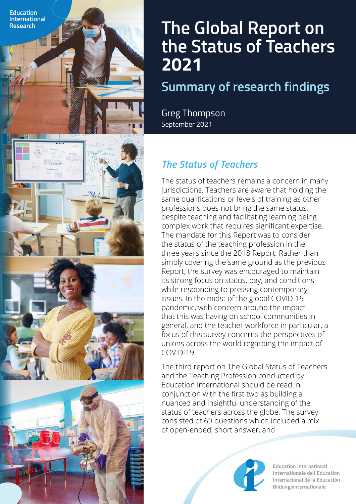

## **Summary of research findings**

Greg Thompson September 2021

**Education International**

## *The Status of Teachers*

The status of teachers remains a concern in many jurisdictions. Teachers are aware that holding the same qualifications or levels of training as other professions does not bring the same status, despite teaching and facilitating learning being complex work that requires significant expertise. The mandate for this Report was to consider the status of the teaching profession in the three years since the 2018 Report. Rather than simply covering the same ground as the previous Report, the survey was encouraged to maintain its strong focus on status, pay, and conditions while responding to pressing contemporary issues. In the midst of the global COVID-19 pandemic, with concern around the impact that this was having on school communities in general, and the teacher workforce in particular, a focus of this survey concerns the perspectives of unions across the world regarding the impact of COVID-19.

The third report on The Global Status of Teachers and the Teaching Profession conducted by Education International should be read in conjunction with the first two as building a nuanced and insightful understanding of the status of teachers across the globe. The survey consisted of 69 questions which included a mix of open-ended, short answer, and



**Education International** Internationale de l'Education Internacional de la Educación Bildungsinternationale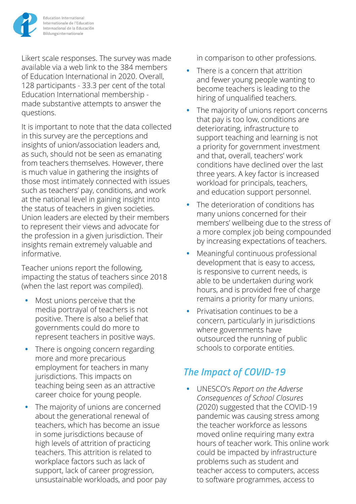

Likert scale responses. The survey was made available via a web link to the 384 members of Education International in 2020. Overall, 128 participants - 33.3 per cent of the total Education International membership made substantive attempts to answer the questions.

It is important to note that the data collected in this survey are the perceptions and insights of union/association leaders and, as such, should not be seen as emanating from teachers themselves. However, there is much value in gathering the insights of those most intimately connected with issues such as teachers' pay, conditions, and work at the national level in gaining insight into the status of teachers in given societies. Union leaders are elected by their members to represent their views and advocate for the profession in a given jurisdiction. Their insights remain extremely valuable and informative.

Teacher unions report the following, impacting the status of teachers since 2018 (when the last report was compiled).

- **•** Most unions perceive that the media portrayal of teachers is not positive. There is also a belief that governments could do more to represent teachers in positive ways.
- There is ongoing concern regarding more and more precarious employment for teachers in many jurisdictions. This impacts on teaching being seen as an attractive career choice for young people.
- The majority of unions are concerned about the generational renewal of teachers, which has become an issue in some jurisdictions because of high levels of attrition of practicing teachers. This attrition is related to workplace factors such as lack of support, lack of career progression, unsustainable workloads, and poor pay

in comparison to other professions.

- There is a concern that attrition and fewer young people wanting to become teachers is leading to the hiring of unqualified teachers.
- The majority of unions report concerns that pay is too low, conditions are deteriorating, infrastructure to support teaching and learning is not a priority for government investment and that, overall, teachers' work conditions have declined over the last three years. A key factor is increased workload for principals, teachers, and education support personnel.
- The deterioration of conditions has many unions concerned for their members' wellbeing due to the stress of a more complex job being compounded by increasing expectations of teachers.
- Meaningful continuous professional development that is easy to access, is responsive to current needs, is able to be undertaken during work hours, and is provided free of charge remains a priority for many unions.
- Privatisation continues to be a concern, particularly in jurisdictions where governments have outsourced the running of public schools to corporate entities.

## *The Impact of COVID-19*

**•** UNESCO's *Report on the Adverse Consequences of School Closures*  (2020) suggested that the COVID-19 pandemic was causing stress among the teacher workforce as lessons moved online requiring many extra hours of teacher work. This online work could be impacted by infrastructure problems such as student and teacher access to computers, access to software programmes, access to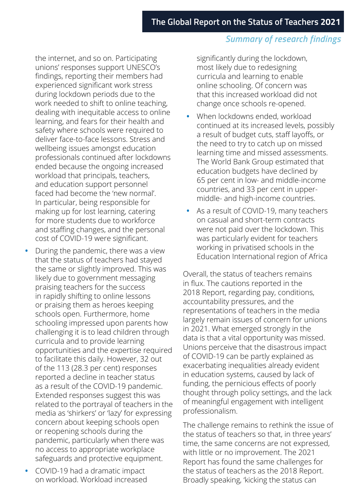## *Summary of research findings*

the internet, and so on. Participating unions' responses support UNESCO's findings, reporting their members had experienced significant work stress during lockdown periods due to the work needed to shift to online teaching, dealing with inequitable access to online learning, and fears for their health and safety where schools were required to deliver face-to-face lessons. Stress and wellbeing issues amongst education professionals continued after lockdowns ended because the ongoing increased workload that principals, teachers, and education support personnel faced had become the 'new normal'. In particular, being responsible for making up for lost learning, catering for more students due to workforce and staffing changes, and the personal cost of COVID-19 were significant.

- During the pandemic, there was a view that the status of teachers had stayed the same or slightly improved. This was likely due to government messaging praising teachers for the success in rapidly shifting to online lessons or praising them as heroes keeping schools open. Furthermore, home schooling impressed upon parents how challenging it is to lead children through curricula and to provide learning opportunities and the expertise required to facilitate this daily. However, 32 out of the 113 (28.3 per cent) responses reported a decline in teacher status as a result of the COVID-19 pandemic. Extended responses suggest this was related to the portrayal of teachers in the media as 'shirkers' or 'lazy' for expressing concern about keeping schools open or reopening schools during the pandemic, particularly when there was no access to appropriate workplace safeguards and protective equipment.
- COVID-19 had a dramatic impact on workload. Workload increased

significantly during the lockdown, most likely due to redesigning curricula and learning to enable online schooling. Of concern was that this increased workload did not change once schools re-opened.

- When lockdowns ended, workload continued at its increased levels, possibly a result of budget cuts, staff layoffs, or the need to try to catch up on missed learning time and missed assessments. The World Bank Group estimated that education budgets have declined by 65 per cent in low- and middle-income countries, and 33 per cent in uppermiddle- and high-income countries.
- As a result of COVID-19, many teachers on casual and short-term contracts were not paid over the lockdown. This was particularly evident for teachers working in privatised schools in the Education International region of Africa

Overall, the status of teachers remains in flux. The cautions reported in the 2018 Report, regarding pay, conditions, accountability pressures, and the representations of teachers in the media largely remain issues of concern for unions in 2021. What emerged strongly in the data is that a vital opportunity was missed. Unions perceive that the disastrous impact of COVID-19 can be partly explained as exacerbating inequalities already evident in education systems, caused by lack of funding, the pernicious effects of poorly thought through policy settings, and the lack of meaningful engagement with intelligent professionalism.

The challenge remains to rethink the issue of the status of teachers so that, in three years' time, the same concerns are not expressed, with little or no improvement. The 2021 Report has found the same challenges for the status of teachers as the 2018 Report. Broadly speaking, 'kicking the status can